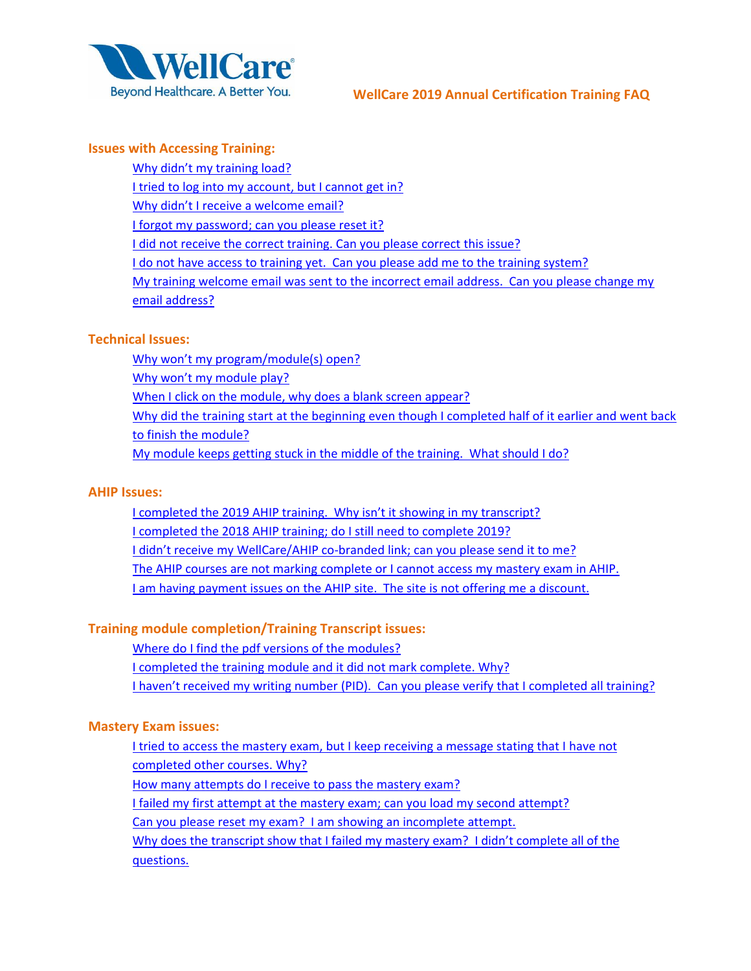

### <span id="page-0-0"></span>**Issues with Accessing Training:**

Why didn't [my training load?](#page-1-0) 

[I tried to log into my account, but I cannot get in?](#page-1-1)

[Why didn't I receive a welcome email?](#page-1-2)

I forgot my password; [can you please reset it?](#page-1-3)

[I did not receive the correct training. Can you please correct](#page-1-4) this issue?

[I do not have access to training yet. Can you please add me to the training system?](#page-1-5)

[My training welcome email was sent to the incorrect email address. Can you please change my](#page-1-6)  [email address?](#page-1-6)

## **Technical Issues:**

[Why won't my program/module\(s\) open?](#page-2-0)

[Why won't my module play?](#page-2-1)

[When I click on the module, why does a blank screen appear?](#page-2-2)

Why did the training start at the beginning even though I completed half of it earlier and went back

[to finish the module?](#page-2-3)

[My module keeps getting stuck in the middle of the training. What should I do?](#page-2-4)

# **AHIP Issues:**

I completed the 2019 [AHIP training. Why isn't it showing in my transcript?](#page-2-5) [I completed the 2018 AHIP training; do I still need to complete 2019?](#page-2-6) I didn't receive my [WellCare/AHIP co-branded link; can you please send it to me?](#page-3-0) [The AHIP courses are not marking complete or I cannot access my mastery exam in AHIP.](#page-3-1)  I am having payment issues on the [AHIP site. The site is not offering me a discount.](#page-3-2) 

# **Training module completion/Training Transcript issues:**

[Where do I find the pdf versions of the modules?](#page-3-3)

[I completed the training module and it did not mark complete.](#page-3-4) Why?

I haven't received my writing number [\(PID\). Can you please verify that I completed all training?](#page-3-5)

# **Mastery Exam issues:**

[I tried to access the mastery exam, but I keep receiving a message stating that I have not](#page-4-0)  [completed other courses. Why?](#page-4-0)

[How many attempts do I receive to pass the mastery exam?](#page-4-1)

[I failed my first attempt at the mastery exam; can you load my second attempt?](#page-4-2)

[Can you please reset my exam? I am showing an incomplete attempt.](#page-4-3)

[Why does the transcript show that I failed my mastery exam? I didn't complete all of the](#page-4-4)  [questions.](#page-4-4)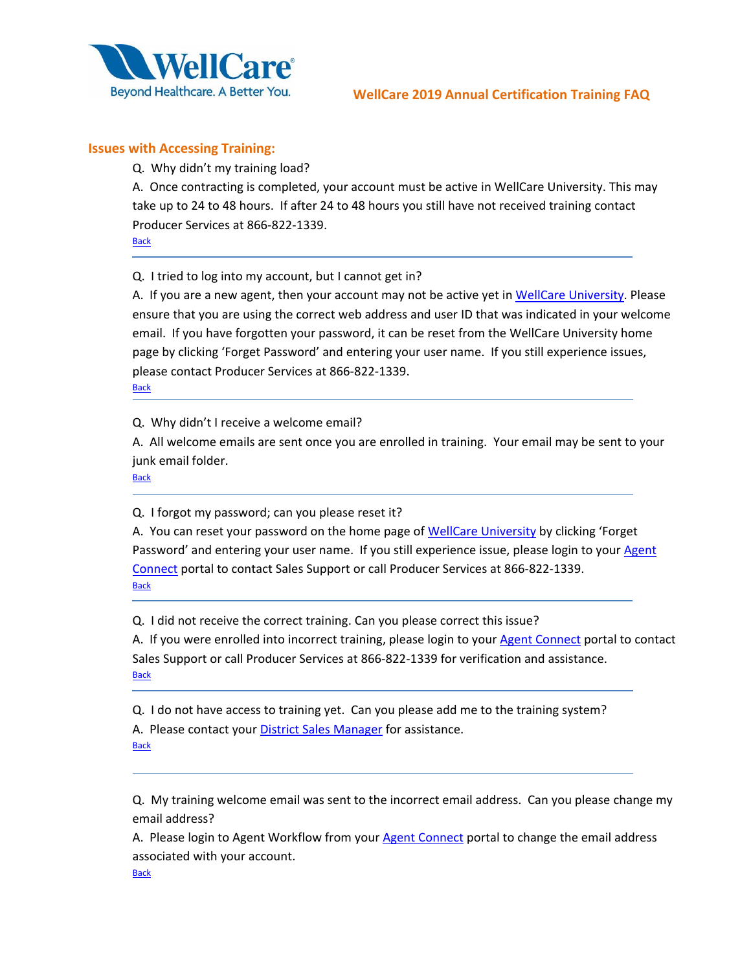

## <span id="page-1-0"></span>**Issues with Accessing Training:**

Q. Why didn't my training load?

A. Once contracting is completed, your account must be active in WellCare University. This may take up to 24 to 48 hours. If after 24 to 48 hours you still have not received training contact Producer Services at 866-822-1339.

**[Back](#page-0-0)** 

<span id="page-1-1"></span>Q. I tried to log into my account, but I cannot get in?

A. If you are a new agent, then your account may not be active yet i[n WellCare University.](http://www.wellcareuniversity.com/) Please ensure that you are using the correct web address and user ID that was indicated in your welcome email. If you have forgotten your password, it can be reset from the WellCare University home page by clicking 'Forget Password' and entering your user name. If you still experience issues, please contact Producer Services at 866-822-1339. **[Back](#page-0-0)** 

<span id="page-1-2"></span>Q. Why didn't I receive a welcome email?

A. All welcome emails are sent once you are enrolled in training. Your email may be sent to your junk email folder.

**[Back](#page-0-0)** 

<span id="page-1-3"></span>Q. I forgot my password; can you please reset it?

A. You can reset your password on the home page of [WellCare University](http://www.wellcareuniversity.com/) by clicking 'Forget Password' and entering your user name. If you still experience issue, please login to your Agent [Connect](https://wellcare.callidusinsurance.net/ICM/FormActionServlet) portal to contact Sales Support or call Producer Services at 866-822-1339. **[Back](#page-0-0)** 

<span id="page-1-4"></span>Q. I did not receive the correct training. Can you please correct this issue?

A. If you were enrolled into incorrect training, please login to your [Agent Connect](https://wellcare.callidusinsurance.net/ICM/FormActionServlet) portal to contact Sales Support or call Producer Services at 866-822-1339 for verification and assistance. **[Back](#page-0-0)** 

<span id="page-1-5"></span>Q. I do not have access to training yet. Can you please add me to the training system? A. Please contact your [District Sales Manager](https://www.wellcare.com/~/media/Producers/NA_Local_DSM_ENG_5_29_2018.ashx?la=en) for assistance. **[Back](#page-0-0)** 

<span id="page-1-6"></span>Q. My training welcome email was sent to the incorrect email address. Can you please change my email address?

A. Please login to Agent Workflow from your [Agent Connect](https://wellcare.callidusinsurance.net/ICM/FormActionServlet) portal to change the email address associated with your account.

**[Back](#page-0-0)**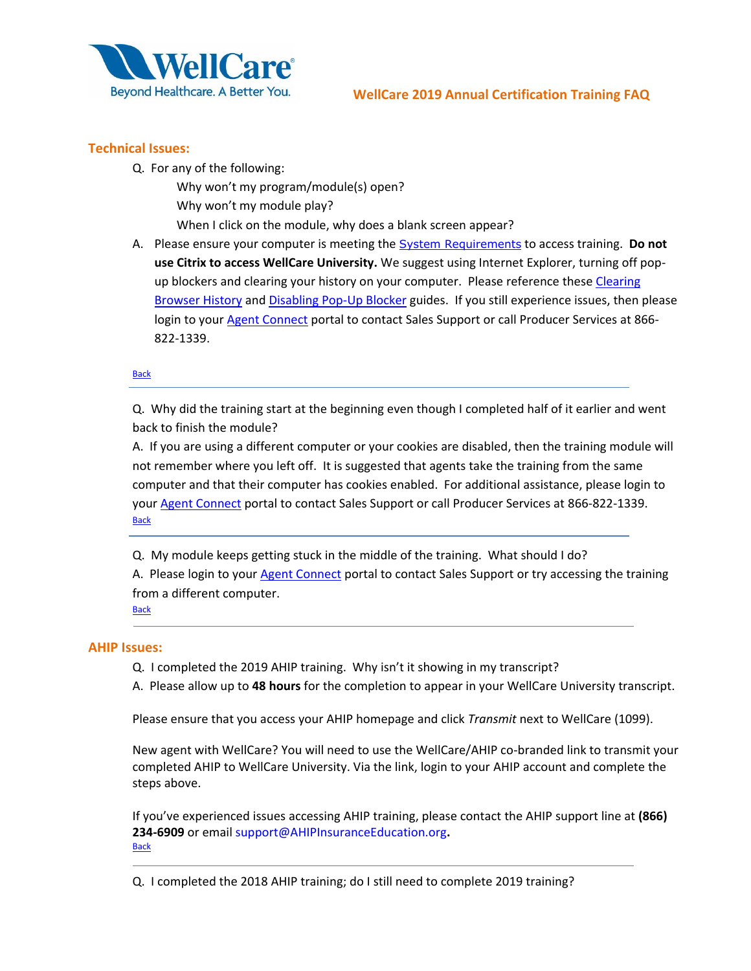

## <span id="page-2-1"></span><span id="page-2-0"></span>**Technical Issues:**

- Q. For any of the following:
	- Why won't my program/module(s) open? Why won't my module play? When I click on the module, why does a blank screen appear?
- <span id="page-2-2"></span>A. Please ensure your computer is meeting the [System Requirements](https://portal.wellcare.com/WCAssets/corporate/assets/2015/system_requirements_2015.pdf) to access training. **Do not use Citrix to access WellCare University.** We suggest using Internet Explorer, turning off popup blockers and clearing your history on your computer. Please reference these Clearing [Browser History](https://portal.wellcare.com/WCAssets/corporate/assets/producer/2016/na_prod_clearing_history_eng_08_2016.pdf) and [Disabling Pop-Up Blocker](https://portal.wellcare.com/WCAssets/corporate/assets/producer/2016/na_prod_disable_pop_up_blockers.pdf) guides. If you still experience issues, then please login to your [Agent Connect](https://wellcare.callidusinsurance.net/ICM/FormActionServlet) portal to contact Sales Support or call Producer Services at 866-822-1339.

#### **[Back](#page-0-0)**

<span id="page-2-3"></span>Q. Why did the training start at the beginning even though I completed half of it earlier and went back to finish the module?

A. If you are using a different computer or your cookies are disabled, then the training module will not remember where you left off. It is suggested that agents take the training from the same computer and that their computer has cookies enabled. For additional assistance, please login to your [Agent Connect](https://wellcare.callidusinsurance.net/ICM/FormActionServlet) portal to contact Sales Support or call Producer Services at 866-822-1339. **[Back](#page-0-0)** 

<span id="page-2-4"></span>Q. My module keeps getting stuck in the middle of the training. What should I do? A. Please login to your [Agent Connect](https://wellcare.callidusinsurance.net/ICM/FormActionServlet) portal to contact Sales Support or try accessing the training from a different computer.

**[Back](#page-0-0)** 

#### <span id="page-2-5"></span>**AHIP Issues:**

- Q. I completed the 2019 AHIP training. Why isn't it showing in my transcript?
- A. Please allow up to **48 hours** for the completion to appear in your WellCare University transcript.

Please ensure that you access your AHIP homepage and click *Transmit* next to WellCare (1099).

New agent with WellCare? You will need to use the WellCare/AHIP co-branded link to transmit your completed AHIP to WellCare University. Via the link, login to your AHIP account and complete the steps above.

If you've experienced issues accessing AHIP training, please contact the AHIP support line at **(866) 234-6909** or email [support@AHIPInsuranceEducation.org](mailto:support@AHIPInsuranceEducation.org)**. [Back](#page-0-0)** 

<span id="page-2-6"></span>Q. I completed the 2018 AHIP training; do I still need to complete 2019 training?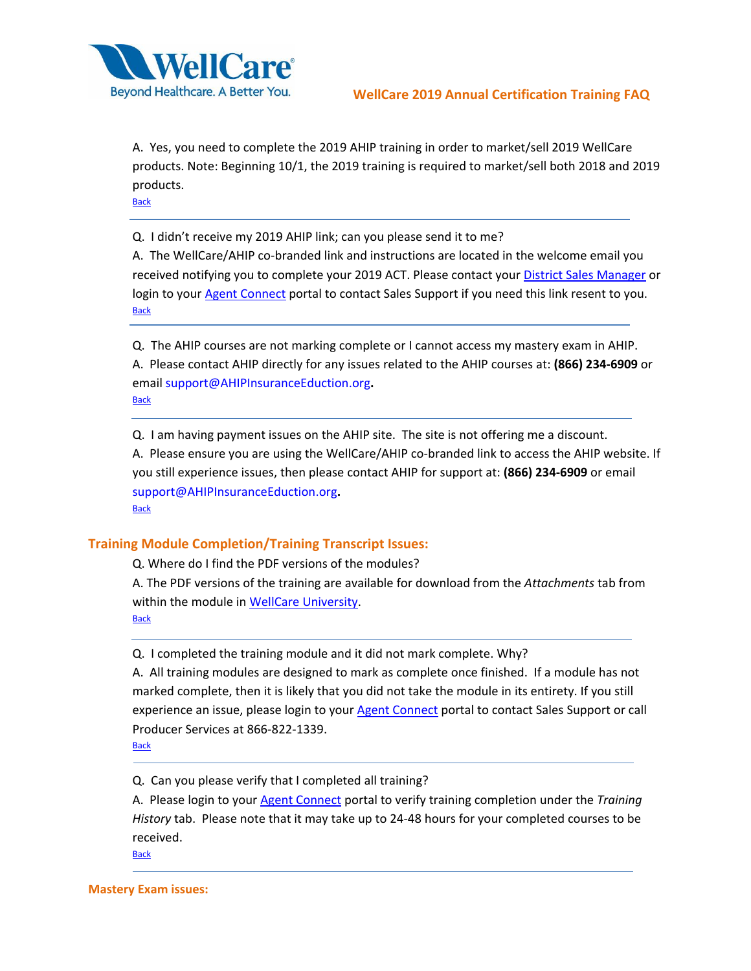

A. Yes, you need to complete the 2019 AHIP training in order to market/sell 2019 WellCare products. Note: Beginning 10/1, the 2019 training is required to market/sell both 2018 and 2019 products.

**[Back](#page-0-0)** 

<span id="page-3-0"></span>Q. I didn't receive my 2019 AHIP link; can you please send it to me?

A. The WellCare/AHIP co-branded link and instructions are located in the welcome email you received notifying you to complete your 2019 ACT. Please contact your [District Sales Manager](https://www.wellcare.com/~/media/Producers/NA_Local_DSM_ENG_5_29_2018.ashx?la=en) or login to your [Agent Connect](https://wellcare.callidusinsurance.net/ICM/FormActionServlet) portal to contact Sales Support if you need this link resent to you. **[Back](#page-0-0)** 

<span id="page-3-1"></span>Q. The AHIP courses are not marking complete or I cannot access my mastery exam in AHIP. A. Please contact AHIP directly for any issues related to the AHIP courses at: **(866) 234-6909** or email [support@AHIPInsuranceEduction.org](mailto:support@AHIPInsuranceEduction.org)**.**

**[Back](#page-0-0)** 

<span id="page-3-2"></span>Q. I am having payment issues on the AHIP site. The site is not offering me a discount.

A. Please ensure you are using the WellCare/AHIP co-branded link to access the AHIP website. If you still experience issues, then please contact AHIP for support at: **(866) 234-6909** or email [support@AHIPInsuranceEduction.org](mailto:support@AHIPInsuranceEduction.org)**.** [Back](#page-0-0)

#### <span id="page-3-3"></span>**Training Module Completion/Training Transcript Issues:**

Q. Where do I find the PDF versions of the modules?

A. The PDF versions of the training are available for download from the *Attachments* tab from within the module in [WellCare University.](http://www.wellcareuniversity.com/)

[Back](#page-0-0)

<span id="page-3-4"></span>Q. I completed the training module and it did not mark complete. Why?

A. All training modules are designed to mark as complete once finished. If a module has not marked complete, then it is likely that you did not take the module in its entirety. If you still experience an issue, please login to your [Agent Connect](https://wellcare.callidusinsurance.net/ICM/FormActionServlet) portal to contact Sales Support or call Producer Services at 866-822-1339.

**[Back](#page-0-0)** 

<span id="page-3-5"></span>Q. Can you please verify that I completed all training?

A. Please login to your [Agent Connect](https://wellcare.callidusinsurance.net/ICM/FormActionServlet) portal to verify training completion under the *Training History* tab. Please note that it may take up to 24-48 hours for your completed courses to be received.

**[Back](#page-0-0)** 

**Mastery Exam issues:**